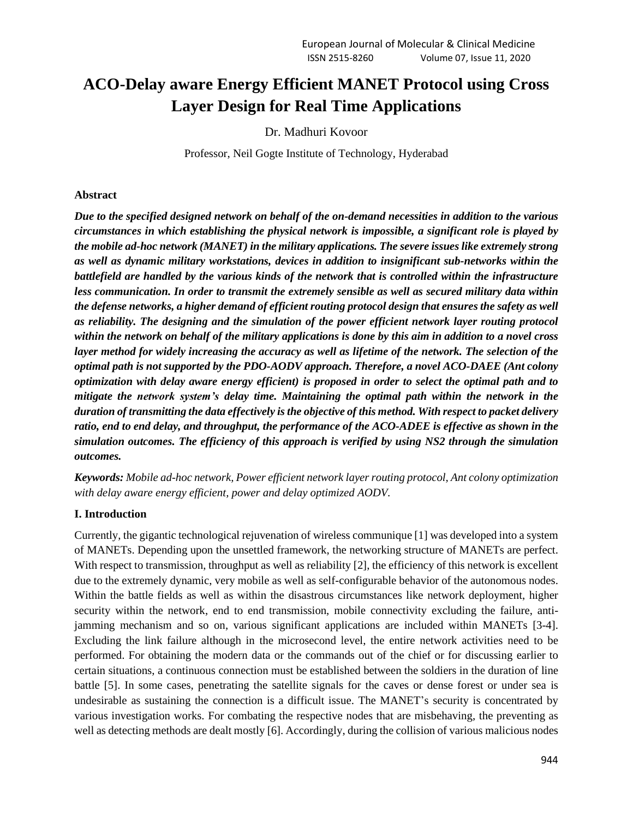# **ACO-Delay aware Energy Efficient MANET Protocol using Cross Layer Design for Real Time Applications**

Dr. Madhuri Kovoor

Professor, Neil Gogte Institute of Technology, Hyderabad

#### **Abstract**

*Due to the specified designed network on behalf of the on-demand necessities in addition to the various circumstances in which establishing the physical network is impossible, a significant role is played by the mobile ad-hoc network (MANET) in the military applications. The severe issues like extremely strong as well as dynamic military workstations, devices in addition to insignificant sub-networks within the battlefield are handled by the various kinds of the network that is controlled within the infrastructure less communication. In order to transmit the extremely sensible as well as secured military data within the defense networks, a higher demand of efficient routing protocol design that ensures the safety as well as reliability. The designing and the simulation of the power efficient network layer routing protocol within the network on behalf of the military applications is done by this aim in addition to a novel cross layer method for widely increasing the accuracy as well as lifetime of the network. The selection of the optimal path is not supported by the PDO-AODV approach. Therefore, a novel ACO-DAEE (Ant colony optimization with delay aware energy efficient) is proposed in order to select the optimal path and to mitigate the network system's delay time. Maintaining the optimal path within the network in the duration of transmitting the data effectively is the objective of this method. With respect to packet delivery ratio, end to end delay, and throughput, the performance of the ACO-ADEE is effective as shown in the simulation outcomes. The efficiency of this approach is verified by using NS2 through the simulation outcomes.*

*Keywords: Mobile ad-hoc network, Power efficient network layer routing protocol, Ant colony optimization with delay aware energy efficient, power and delay optimized AODV.* 

## **I. Introduction**

Currently, the gigantic technological rejuvenation of wireless communique [1] was developed into a system of MANETs. Depending upon the unsettled framework, the networking structure of MANETs are perfect. With respect to transmission, throughput as well as reliability [2], the efficiency of this network is excellent due to the extremely dynamic, very mobile as well as self-configurable behavior of the autonomous nodes. Within the battle fields as well as within the disastrous circumstances like network deployment, higher security within the network, end to end transmission, mobile connectivity excluding the failure, antijamming mechanism and so on, various significant applications are included within MANETs [3-4]. Excluding the link failure although in the microsecond level, the entire network activities need to be performed. For obtaining the modern data or the commands out of the chief or for discussing earlier to certain situations, a continuous connection must be established between the soldiers in the duration of line battle [5]. In some cases, penetrating the satellite signals for the caves or dense forest or under sea is undesirable as sustaining the connection is a difficult issue. The MANET's security is concentrated by various investigation works. For combating the respective nodes that are misbehaving, the preventing as well as detecting methods are dealt mostly [6]. Accordingly, during the collision of various malicious nodes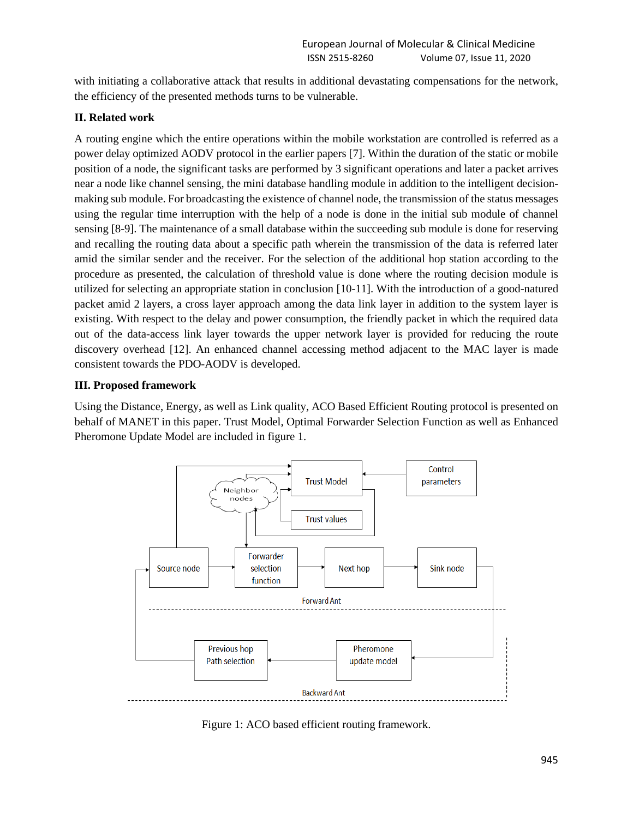with initiating a collaborative attack that results in additional devastating compensations for the network, the efficiency of the presented methods turns to be vulnerable.

### **II. Related work**

A routing engine which the entire operations within the mobile workstation are controlled is referred as a power delay optimized AODV protocol in the earlier papers [7]. Within the duration of the static or mobile position of a node, the significant tasks are performed by 3 significant operations and later a packet arrives near a node like channel sensing, the mini database handling module in addition to the intelligent decisionmaking sub module. For broadcasting the existence of channel node, the transmission of the status messages using the regular time interruption with the help of a node is done in the initial sub module of channel sensing [8-9]. The maintenance of a small database within the succeeding sub module is done for reserving and recalling the routing data about a specific path wherein the transmission of the data is referred later amid the similar sender and the receiver. For the selection of the additional hop station according to the procedure as presented, the calculation of threshold value is done where the routing decision module is utilized for selecting an appropriate station in conclusion [10-11]. With the introduction of a good-natured packet amid 2 layers, a cross layer approach among the data link layer in addition to the system layer is existing. With respect to the delay and power consumption, the friendly packet in which the required data out of the data-access link layer towards the upper network layer is provided for reducing the route discovery overhead [12]. An enhanced channel accessing method adjacent to the MAC layer is made consistent towards the PDO-AODV is developed.

#### **III. Proposed framework**

Using the Distance, Energy, as well as Link quality, ACO Based Efficient Routing protocol is presented on behalf of MANET in this paper. Trust Model, Optimal Forwarder Selection Function as well as Enhanced Pheromone Update Model are included in figure 1.



Figure 1: ACO based efficient routing framework.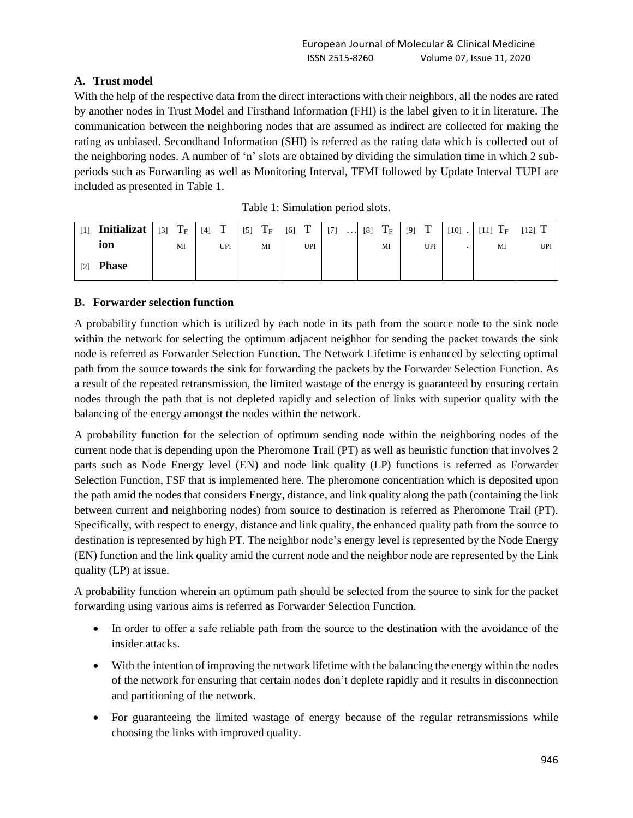# **A. Trust model**

With the help of the respective data from the direct interactions with their neighbors, all the nodes are rated by another nodes in Trust Model and Firsthand Information (FHI) is the label given to it in literature. The communication between the neighboring nodes that are assumed as indirect are collected for making the rating as unbiased. Secondhand Information (SHI) is referred as the rating data which is collected out of the neighboring nodes. A number of 'n' slots are obtained by dividing the simulation time in which 2 subperiods such as Forwarding as well as Monitoring Interval, TFMI followed by Update Interval TUPI are included as presented in Table 1.

| $\lceil 1 \rceil$ | Initializat  | $[3]$ | $\mathrm{T_{F}}$ | $[4]$ T | $[5]$ | $\mathrm{T_{F}}$ | $[6]$ T |     | [7] |  | $\ldots$ [8] $T_F$ | [9] | $\mathbf T$ | $[10]$ . | $[11]$ $T_F$ | $[12]$ T |
|-------------------|--------------|-------|------------------|---------|-------|------------------|---------|-----|-----|--|--------------------|-----|-------------|----------|--------------|----------|
|                   | ion          |       | MI               | UPI     |       | MI               |         | UPI |     |  | MI                 |     | UPI         |          | MI           | UPI      |
| $[2]$             | <b>Phase</b> |       |                  |         |       |                  |         |     |     |  |                    |     |             |          |              |          |

|  |  | Table 1: Simulation period slots. |
|--|--|-----------------------------------|
|--|--|-----------------------------------|

## **B. Forwarder selection function**

A probability function which is utilized by each node in its path from the source node to the sink node within the network for selecting the optimum adjacent neighbor for sending the packet towards the sink node is referred as Forwarder Selection Function. The Network Lifetime is enhanced by selecting optimal path from the source towards the sink for forwarding the packets by the Forwarder Selection Function. As a result of the repeated retransmission, the limited wastage of the energy is guaranteed by ensuring certain nodes through the path that is not depleted rapidly and selection of links with superior quality with the balancing of the energy amongst the nodes within the network.

A probability function for the selection of optimum sending node within the neighboring nodes of the current node that is depending upon the Pheromone Trail (PT) as well as heuristic function that involves 2 parts such as Node Energy level (EN) and node link quality (LP) functions is referred as Forwarder Selection Function, FSF that is implemented here. The pheromone concentration which is deposited upon the path amid the nodes that considers Energy, distance, and link quality along the path (containing the link between current and neighboring nodes) from source to destination is referred as Pheromone Trail (PT). Specifically, with respect to energy, distance and link quality, the enhanced quality path from the source to destination is represented by high PT. The neighbor node's energy level is represented by the Node Energy (EN) function and the link quality amid the current node and the neighbor node are represented by the Link quality (LP) at issue.

A probability function wherein an optimum path should be selected from the source to sink for the packet forwarding using various aims is referred as Forwarder Selection Function.

- In order to offer a safe reliable path from the source to the destination with the avoidance of the insider attacks.
- With the intention of improving the network lifetime with the balancing the energy within the nodes of the network for ensuring that certain nodes don't deplete rapidly and it results in disconnection and partitioning of the network.
- For guaranteeing the limited wastage of energy because of the regular retransmissions while choosing the links with improved quality.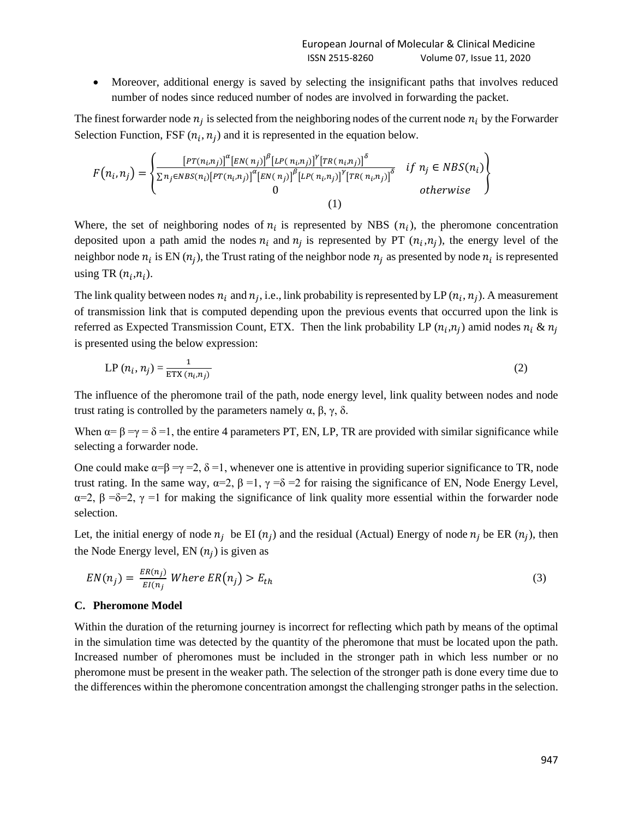• Moreover, additional energy is saved by selecting the insignificant paths that involves reduced number of nodes since reduced number of nodes are involved in forwarding the packet.

The finest forwarder node  $n_j$  is selected from the neighboring nodes of the current node  $n_i$  by the Forwarder Selection Function, FSF  $(n_i, n_j)$  and it is represented in the equation below.

$$
F(n_i, n_j) = \begin{cases} \frac{\left[PT(n_i, n_j)\right]^{\alpha} \left[EN(n_j)\right]^{\beta} \left[LP(n_i, n_j)\right]^{\gamma} \left[TR(n_i, n_j)\right]^{\delta}}{\sum n_j \in NBS(n_i) \left[PT(n_i, n_j)\right]^{\alpha} \left[EN(n_j)\right]^{\beta} \left[LP(n_i, n_j)\right]^{\gamma} \left[TR(n_i, n_j)\right]^{\delta}} & \text{if } n_j \in NBS(n_i) \\ 0 & \text{otherwise} \end{cases}
$$

Where, the set of neighboring nodes of  $n_i$  is represented by NBS  $(n_i)$ , the pheromone concentration deposited upon a path amid the nodes  $n_i$  and  $n_j$  is represented by PT  $(n_i, n_j)$ , the energy level of the neighbor node  $n_i$  is EN  $(n_j)$ , the Trust rating of the neighbor node  $n_j$  as presented by node  $n_i$  is represented using TR  $(n_i, n_i)$ .

The link quality between nodes  $n_i$  and  $n_j$ , i.e., link probability is represented by LP  $(n_i, n_j)$ . A measurement of transmission link that is computed depending upon the previous events that occurred upon the link is referred as Expected Transmission Count, ETX. Then the link probability LP  $(n_i, n_j)$  amid nodes  $n_i \& n_j$ is presented using the below expression:

$$
LP(n_i, n_j) = \frac{1}{\text{ETX}(n_i, n_j)}
$$
\n(2)

The influence of the pheromone trail of the path, node energy level, link quality between nodes and node trust rating is controlled by the parameters namely  $\alpha$ , β, γ, δ.

When  $\alpha = \beta = \gamma = \delta = 1$ , the entire 4 parameters PT, EN, LP, TR are provided with similar significance while selecting a forwarder node.

One could make  $\alpha = \beta = \gamma = 2$ ,  $\delta = 1$ , whenever one is attentive in providing superior significance to TR, node trust rating. In the same way,  $\alpha=2$ ,  $\beta=1$ ,  $\gamma=8=2$  for raising the significance of EN, Node Energy Level, α=2, β =δ=2, γ =1 for making the significance of link quality more essential within the forwarder node selection.

Let, the initial energy of node  $n_j$  be EI  $(n_j)$  and the residual (Actual) Energy of node  $n_j$  be ER  $(n_j)$ , then the Node Energy level,  $EN(n_j)$  is given as

$$
EN(n_j) = \frac{ER(n_j)}{EI(n_j)} \text{ Where } ER(n_j) > E_{th} \tag{3}
$$

#### **C. Pheromone Model**

Within the duration of the returning journey is incorrect for reflecting which path by means of the optimal in the simulation time was detected by the quantity of the pheromone that must be located upon the path. Increased number of pheromones must be included in the stronger path in which less number or no pheromone must be present in the weaker path. The selection of the stronger path is done every time due to the differences within the pheromone concentration amongst the challenging stronger paths in the selection.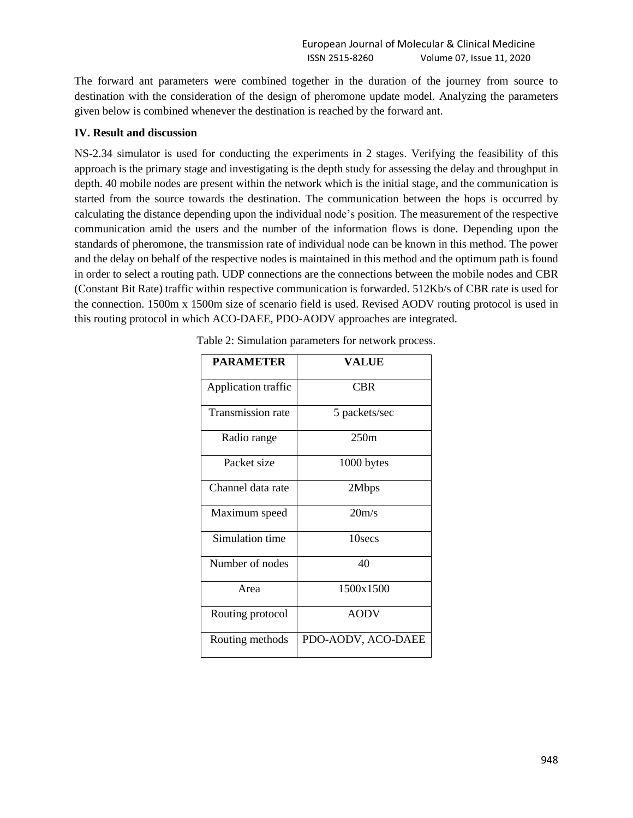The forward ant parameters were combined together in the duration of the journey from source to destination with the consideration of the design of pheromone update model. Analyzing the parameters given below is combined whenever the destination is reached by the forward ant.

#### **IV. Result and discussion**

NS-2.34 simulator is used for conducting the experiments in 2 stages. Verifying the feasibility of this approach is the primary stage and investigating is the depth study for assessing the delay and throughput in depth. 40 mobile nodes are present within the network which is the initial stage, and the communication is started from the source towards the destination. The communication between the hops is occurred by calculating the distance depending upon the individual node's position. The measurement of the respective communication amid the users and the number of the information flows is done. Depending upon the standards of pheromone, the transmission rate of individual node can be known in this method. The power and the delay on behalf of the respective nodes is maintained in this method and the optimum path is found in order to select a routing path. UDP connections are the connections between the mobile nodes and CBR (Constant Bit Rate) traffic within respective communication is forwarded. 512Kb/s of CBR rate is used for the connection. 1500m x 1500m size of scenario field is used. Revised AODV routing protocol is used in this routing protocol in which ACO-DAEE, PDO-AODV approaches are integrated.

| <b>PARAMETER</b>         | <b>VALUE</b>       |
|--------------------------|--------------------|
| Application traffic      | <b>CBR</b>         |
| <b>Transmission rate</b> | 5 packets/sec      |
| Radio range              | 250m               |
| Packet size              | 1000 bytes         |
| Channel data rate        | 2Mbps              |
| Maximum speed            | 20 <sub>m/s</sub>  |
| Simulation time          | 10secs             |
| Number of nodes          | 40                 |
| Area                     | 1500x1500          |
| Routing protocol         | <b>AODV</b>        |
| Routing methods          | PDO-AODV, ACO-DAEE |

Table 2: Simulation parameters for network process.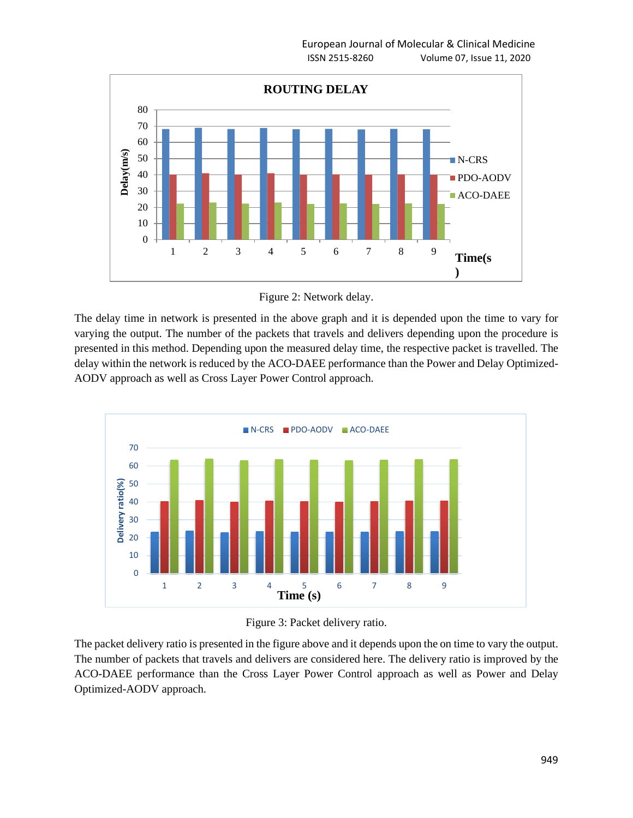

Figure 2: Network delay.

The delay time in network is presented in the above graph and it is depended upon the time to vary for varying the output. The number of the packets that travels and delivers depending upon the procedure is presented in this method. Depending upon the measured delay time, the respective packet is travelled. The delay within the network is reduced by the ACO-DAEE performance than the Power and Delay Optimized-AODV approach as well as Cross Layer Power Control approach.





The packet delivery ratio is presented in the figure above and it depends upon the on time to vary the output. The number of packets that travels and delivers are considered here. The delivery ratio is improved by the ACO-DAEE performance than the Cross Layer Power Control approach as well as Power and Delay Optimized-AODV approach.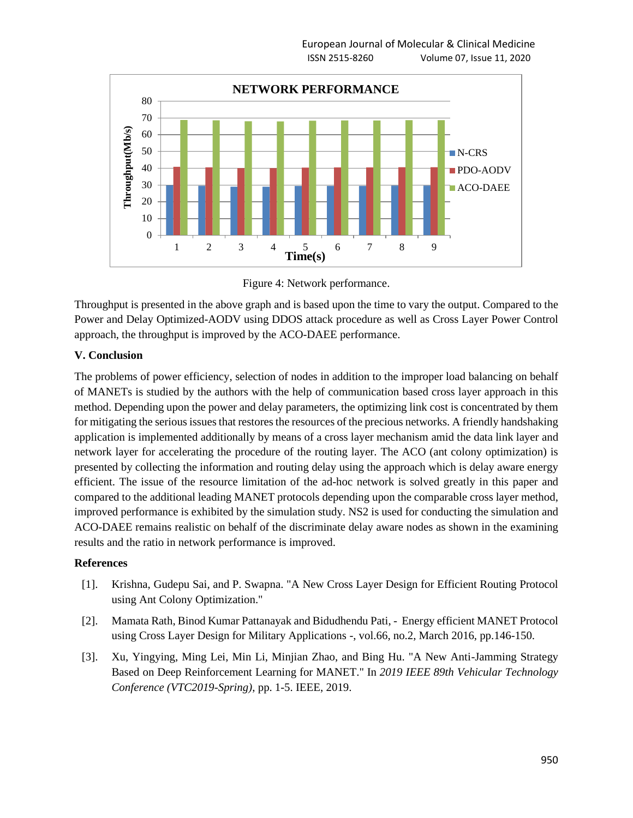

Figure 4: Network performance.

Throughput is presented in the above graph and is based upon the time to vary the output. Compared to the Power and Delay Optimized-AODV using DDOS attack procedure as well as Cross Layer Power Control approach, the throughput is improved by the ACO-DAEE performance.

## **V. Conclusion**

The problems of power efficiency, selection of nodes in addition to the improper load balancing on behalf of MANETs is studied by the authors with the help of communication based cross layer approach in this method. Depending upon the power and delay parameters, the optimizing link cost is concentrated by them for mitigating the serious issues that restores the resources of the precious networks. A friendly handshaking application is implemented additionally by means of a cross layer mechanism amid the data link layer and network layer for accelerating the procedure of the routing layer. The ACO (ant colony optimization) is presented by collecting the information and routing delay using the approach which is delay aware energy efficient. The issue of the resource limitation of the ad-hoc network is solved greatly in this paper and compared to the additional leading MANET protocols depending upon the comparable cross layer method, improved performance is exhibited by the simulation study. NS2 is used for conducting the simulation and ACO-DAEE remains realistic on behalf of the discriminate delay aware nodes as shown in the examining results and the ratio in network performance is improved.

### **References**

- [1]. Krishna, Gudepu Sai, and P. Swapna. "A New Cross Layer Design for Efficient Routing Protocol using Ant Colony Optimization."
- [2]. Mamata Rath, Binod Kumar Pattanayak and Bidudhendu Pati, Energy efficient MANET Protocol using Cross Layer Design for Military Applications -, vol.66, no.2, March 2016, pp.146-150.
- [3]. Xu, Yingying, Ming Lei, Min Li, Minjian Zhao, and Bing Hu. "A New Anti-Jamming Strategy Based on Deep Reinforcement Learning for MANET." In *2019 IEEE 89th Vehicular Technology Conference (VTC2019-Spring)*, pp. 1-5. IEEE, 2019.